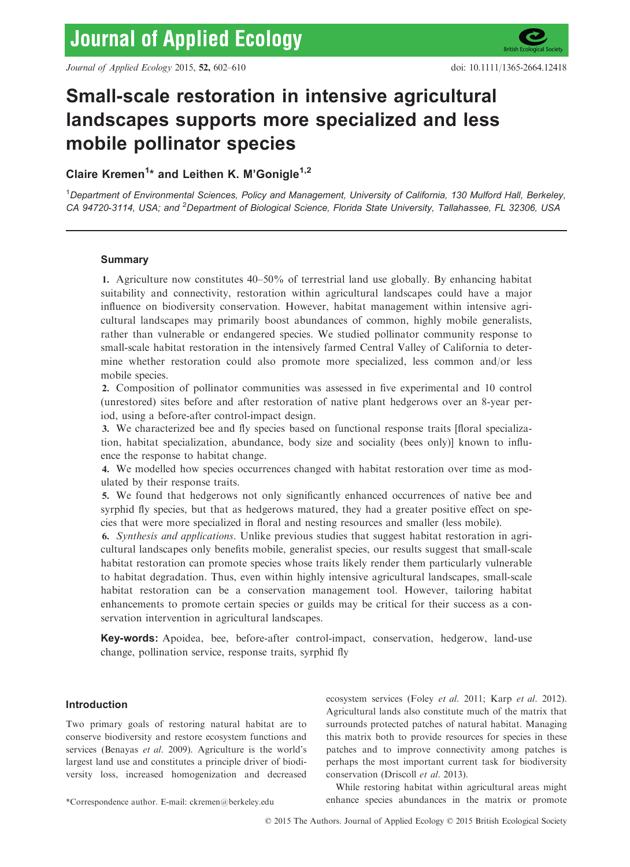

# Small-scale restoration in intensive agricultural landscapes supports more specialized and less mobile pollinator species

# Claire Kremen<sup>1</sup>\* and Leithen K. M'Gonigle<sup>1,2</sup>

<sup>1</sup>Department of Environmental Sciences, Policy and Management, University of California, 130 Mulford Hall, Berkeley, CA 94720-3114, USA; and <sup>2</sup>Department of Biological Science, Florida State University, Tallahassee, FL 32306, USA

# Summary

1. Agriculture now constitutes 40–50% of terrestrial land use globally. By enhancing habitat suitability and connectivity, restoration within agricultural landscapes could have a major influence on biodiversity conservation. However, habitat management within intensive agricultural landscapes may primarily boost abundances of common, highly mobile generalists, rather than vulnerable or endangered species. We studied pollinator community response to small-scale habitat restoration in the intensively farmed Central Valley of California to determine whether restoration could also promote more specialized, less common and/or less mobile species.

2. Composition of pollinator communities was assessed in five experimental and 10 control (unrestored) sites before and after restoration of native plant hedgerows over an 8-year period, using a before-after control-impact design.

3. We characterized bee and fly species based on functional response traits [floral specialization, habitat specialization, abundance, body size and sociality (bees only)] known to influence the response to habitat change.

4. We modelled how species occurrences changed with habitat restoration over time as modulated by their response traits.

5. We found that hedgerows not only significantly enhanced occurrences of native bee and syrphid fly species, but that as hedgerows matured, they had a greater positive effect on species that were more specialized in floral and nesting resources and smaller (less mobile).

6. Synthesis and applications. Unlike previous studies that suggest habitat restoration in agricultural landscapes only benefits mobile, generalist species, our results suggest that small-scale habitat restoration can promote species whose traits likely render them particularly vulnerable to habitat degradation. Thus, even within highly intensive agricultural landscapes, small-scale habitat restoration can be a conservation management tool. However, tailoring habitat enhancements to promote certain species or guilds may be critical for their success as a conservation intervention in agricultural landscapes.

Key-words: Apoidea, bee, before-after control-impact, conservation, hedgerow, land-use change, pollination service, response traits, syrphid fly

# Introduction

Two primary goals of restoring natural habitat are to conserve biodiversity and restore ecosystem functions and services (Benayas et al. 2009). Agriculture is the world's largest land use and constitutes a principle driver of biodiversity loss, increased homogenization and decreased ecosystem services (Foley et al. 2011; Karp et al. 2012). Agricultural lands also constitute much of the matrix that surrounds protected patches of natural habitat. Managing this matrix both to provide resources for species in these patches and to improve connectivity among patches is perhaps the most important current task for biodiversity conservation (Driscoll et al. 2013).

While restoring habitat within agricultural areas might \*Correspondence author. E-mail: ckremen@berkeley.edu enhance species abundances in the matrix or promote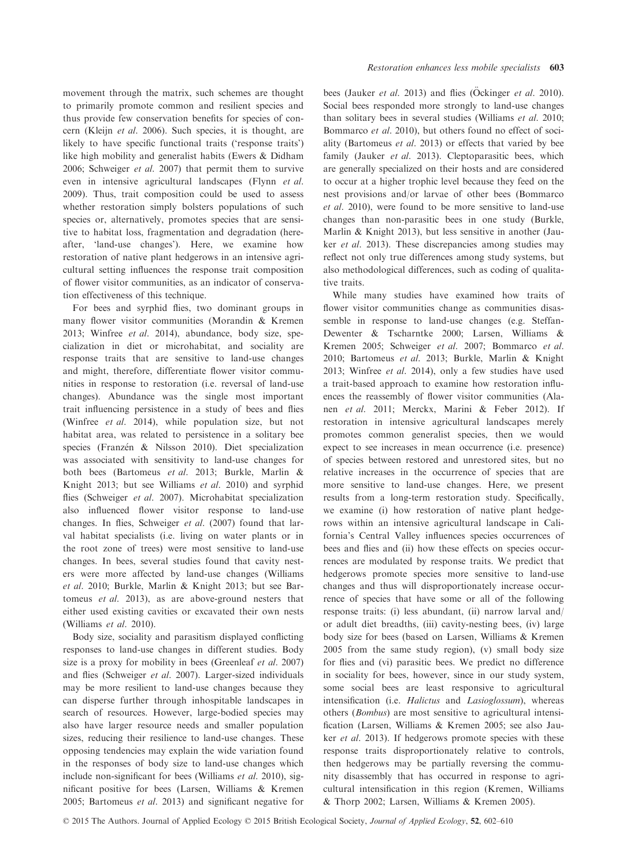movement through the matrix, such schemes are thought to primarily promote common and resilient species and thus provide few conservation benefits for species of concern (Kleijn et al. 2006). Such species, it is thought, are likely to have specific functional traits ('response traits') like high mobility and generalist habits (Ewers & Didham 2006; Schweiger et al. 2007) that permit them to survive even in intensive agricultural landscapes (Flynn et al. 2009). Thus, trait composition could be used to assess whether restoration simply bolsters populations of such species or, alternatively, promotes species that are sensitive to habitat loss, fragmentation and degradation (hereafter, 'land-use changes'). Here, we examine how restoration of native plant hedgerows in an intensive agricultural setting influences the response trait composition of flower visitor communities, as an indicator of conservation effectiveness of this technique.

For bees and syrphid flies, two dominant groups in many flower visitor communities (Morandin & Kremen 2013; Winfree et al. 2014), abundance, body size, specialization in diet or microhabitat, and sociality are response traits that are sensitive to land-use changes and might, therefore, differentiate flower visitor communities in response to restoration (i.e. reversal of land-use changes). Abundance was the single most important trait influencing persistence in a study of bees and flies (Winfree et al. 2014), while population size, but not habitat area, was related to persistence in a solitary bee species (Franzén & Nilsson 2010). Diet specialization was associated with sensitivity to land-use changes for both bees (Bartomeus et al. 2013; Burkle, Marlin & Knight 2013; but see Williams et al. 2010) and syrphid flies (Schweiger et al. 2007). Microhabitat specialization also influenced flower visitor response to land-use changes. In flies, Schweiger et al. (2007) found that larval habitat specialists (i.e. living on water plants or in the root zone of trees) were most sensitive to land-use changes. In bees, several studies found that cavity nesters were more affected by land-use changes (Williams et al. 2010; Burkle, Marlin & Knight 2013; but see Bartomeus et al. 2013), as are above-ground nesters that either used existing cavities or excavated their own nests (Williams et al. 2010).

Body size, sociality and parasitism displayed conflicting responses to land-use changes in different studies. Body size is a proxy for mobility in bees (Greenleaf et al. 2007) and flies (Schweiger et al. 2007). Larger-sized individuals may be more resilient to land-use changes because they can disperse further through inhospitable landscapes in search of resources. However, large-bodied species may also have larger resource needs and smaller population sizes, reducing their resilience to land-use changes. These opposing tendencies may explain the wide variation found in the responses of body size to land-use changes which include non-significant for bees (Williams et al. 2010), significant positive for bees (Larsen, Williams & Kremen 2005; Bartomeus et al. 2013) and significant negative for

bees (Jauker *et al.* 2013) and flies (Ockinger *et al.* 2010). Social bees responded more strongly to land-use changes than solitary bees in several studies (Williams et al. 2010; Bommarco et al. 2010), but others found no effect of sociality (Bartomeus et al. 2013) or effects that varied by bee family (Jauker et al. 2013). Cleptoparasitic bees, which are generally specialized on their hosts and are considered to occur at a higher trophic level because they feed on the nest provisions and/or larvae of other bees (Bommarco et al. 2010), were found to be more sensitive to land-use changes than non-parasitic bees in one study (Burkle, Marlin & Knight 2013), but less sensitive in another (Jauker et al. 2013). These discrepancies among studies may reflect not only true differences among study systems, but also methodological differences, such as coding of qualitative traits.

While many studies have examined how traits of flower visitor communities change as communities disassemble in response to land-use changes (e.g. Steffan-Dewenter & Tscharntke 2000; Larsen, Williams & Kremen 2005; Schweiger et al. 2007; Bommarco et al. 2010; Bartomeus et al. 2013; Burkle, Marlin & Knight 2013; Winfree et al. 2014), only a few studies have used a trait-based approach to examine how restoration influences the reassembly of flower visitor communities (Alanen et al. 2011; Merckx, Marini & Feber 2012). If restoration in intensive agricultural landscapes merely promotes common generalist species, then we would expect to see increases in mean occurrence (i.e. presence) of species between restored and unrestored sites, but no relative increases in the occurrence of species that are more sensitive to land-use changes. Here, we present results from a long-term restoration study. Specifically, we examine (i) how restoration of native plant hedgerows within an intensive agricultural landscape in California's Central Valley influences species occurrences of bees and flies and (ii) how these effects on species occurrences are modulated by response traits. We predict that hedgerows promote species more sensitive to land-use changes and thus will disproportionately increase occurrence of species that have some or all of the following response traits: (i) less abundant, (ii) narrow larval and/ or adult diet breadths, (iii) cavity-nesting bees, (iv) large body size for bees (based on Larsen, Williams & Kremen 2005 from the same study region), (v) small body size for flies and (vi) parasitic bees. We predict no difference in sociality for bees, however, since in our study system, some social bees are least responsive to agricultural intensification (i.e. *Halictus* and *Lasioglossum*), whereas others (Bombus) are most sensitive to agricultural intensification (Larsen, Williams & Kremen 2005; see also Jauker et al. 2013). If hedgerows promote species with these response traits disproportionately relative to controls, then hedgerows may be partially reversing the community disassembly that has occurred in response to agricultural intensification in this region (Kremen, Williams & Thorp 2002; Larsen, Williams & Kremen 2005).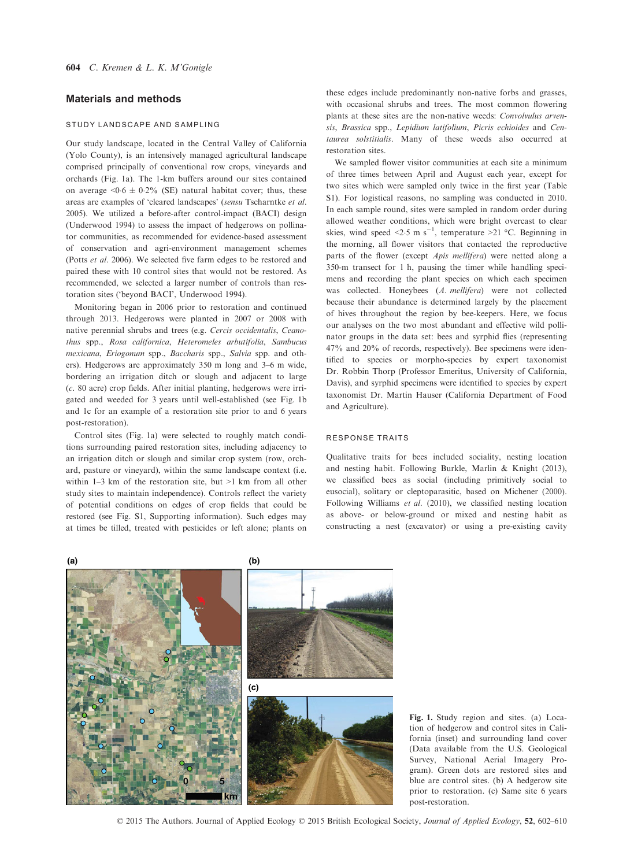# Materials and methods

#### STUDY LANDSCAPE AND SAMPLING

Our study landscape, located in the Central Valley of California (Yolo County), is an intensively managed agricultural landscape comprised principally of conventional row crops, vineyards and orchards (Fig. 1a). The 1-km buffers around our sites contained on average  $\leq 0.6 \pm 0.2\%$  (SE) natural habitat cover; thus, these areas are examples of 'cleared landscapes' (sensu Tscharntke et al. 2005). We utilized a before-after control-impact (BACI) design (Underwood 1994) to assess the impact of hedgerows on pollinator communities, as recommended for evidence-based assessment of conservation and agri-environment management schemes (Potts et al. 2006). We selected five farm edges to be restored and paired these with 10 control sites that would not be restored. As recommended, we selected a larger number of controls than restoration sites ('beyond BACI', Underwood 1994).

Monitoring began in 2006 prior to restoration and continued through 2013. Hedgerows were planted in 2007 or 2008 with native perennial shrubs and trees (e.g. Cercis occidentalis, Ceanothus spp., Rosa californica, Heteromeles arbutifolia, Sambucus mexicana, Eriogonum spp., Baccharis spp., Salvia spp. and others). Hedgerows are approximately 350 m long and 3–6 m wide, bordering an irrigation ditch or slough and adjacent to large (c. 80 acre) crop fields. After initial planting, hedgerows were irrigated and weeded for 3 years until well-established (see Fig. 1b and 1c for an example of a restoration site prior to and 6 years post-restoration).

Control sites (Fig. 1a) were selected to roughly match conditions surrounding paired restoration sites, including adjacency to an irrigation ditch or slough and similar crop system (row, orchard, pasture or vineyard), within the same landscape context (i.e. within 1–3 km of the restoration site, but >1 km from all other study sites to maintain independence). Controls reflect the variety of potential conditions on edges of crop fields that could be restored (see Fig. S1, Supporting information). Such edges may at times be tilled, treated with pesticides or left alone; plants on these edges include predominantly non-native forbs and grasses, with occasional shrubs and trees. The most common flowering plants at these sites are the non-native weeds: Convolvulus arvensis, Brassica spp., Lepidium latifolium, Picris echioides and Centaurea solstitialis. Many of these weeds also occurred at restoration sites.

We sampled flower visitor communities at each site a minimum of three times between April and August each year, except for two sites which were sampled only twice in the first year (Table S1). For logistical reasons, no sampling was conducted in 2010. In each sample round, sites were sampled in random order during allowed weather conditions, which were bright overcast to clear skies, wind speed  $\leq 2.5$  m s<sup>-1</sup>, temperature  $\geq 21$  °C. Beginning in the morning, all flower visitors that contacted the reproductive parts of the flower (except Apis mellifera) were netted along a 350-m transect for 1 h, pausing the timer while handling specimens and recording the plant species on which each specimen was collected. Honeybees (A. mellifera) were not collected because their abundance is determined largely by the placement of hives throughout the region by bee-keepers. Here, we focus our analyses on the two most abundant and effective wild pollinator groups in the data set: bees and syrphid flies (representing 47% and 20% of records, respectively). Bee specimens were identified to species or morpho-species by expert taxonomist Dr. Robbin Thorp (Professor Emeritus, University of California, Davis), and syrphid specimens were identified to species by expert taxonomist Dr. Martin Hauser (California Department of Food and Agriculture).

#### RESPONSE TRAITS

Qualitative traits for bees included sociality, nesting location and nesting habit. Following Burkle, Marlin & Knight (2013), we classified bees as social (including primitively social to eusocial), solitary or cleptoparasitic, based on Michener (2000). Following Williams et al. (2010), we classified nesting location as above- or below-ground or mixed and nesting habit as constructing a nest (excavator) or using a pre-existing cavity



Fig. 1. Study region and sites. (a) Location of hedgerow and control sites in California (inset) and surrounding land cover (Data available from the U.S. Geological Survey, National Aerial Imagery Program). Green dots are restored sites and blue are control sites. (b) A hedgerow site prior to restoration. (c) Same site 6 years post-restoration.

© 2015 The Authors. Journal of Applied Ecology © 2015 British Ecological Society, Journal of Applied Ecology, 52, 602–610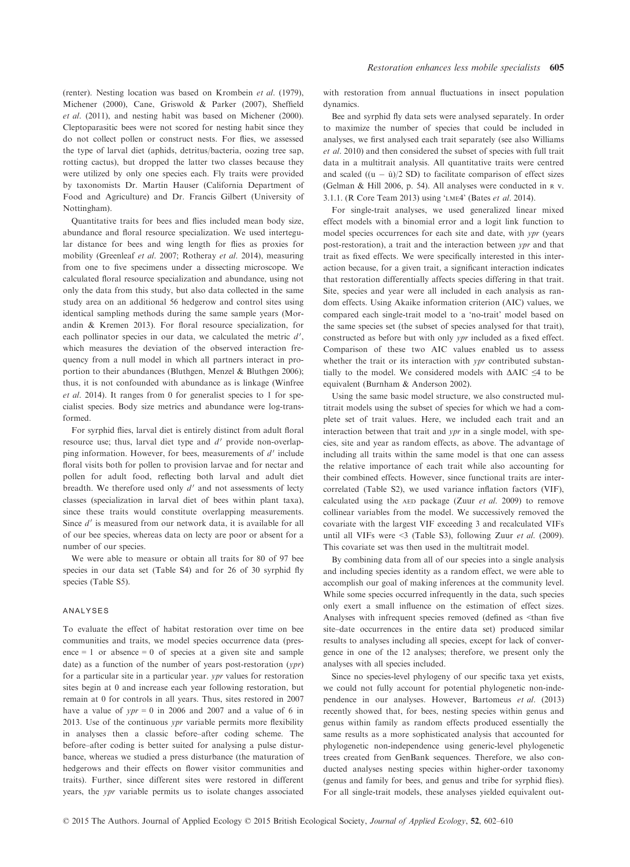(renter). Nesting location was based on Krombein et al. (1979), Michener (2000), Cane, Griswold & Parker (2007), Sheffield et al. (2011), and nesting habit was based on Michener (2000). Cleptoparasitic bees were not scored for nesting habit since they do not collect pollen or construct nests. For flies, we assessed the type of larval diet (aphids, detritus/bacteria, oozing tree sap, rotting cactus), but dropped the latter two classes because they were utilized by only one species each. Fly traits were provided by taxonomists Dr. Martin Hauser (California Department of Food and Agriculture) and Dr. Francis Gilbert (University of Nottingham).

Quantitative traits for bees and flies included mean body size, abundance and floral resource specialization. We used intertegular distance for bees and wing length for flies as proxies for mobility (Greenleaf et al. 2007; Rotheray et al. 2014), measuring from one to five specimens under a dissecting microscope. We calculated floral resource specialization and abundance, using not only the data from this study, but also data collected in the same study area on an additional 56 hedgerow and control sites using identical sampling methods during the same sample years (Morandin & Kremen 2013). For floral resource specialization, for each pollinator species in our data, we calculated the metric  $d'$ , which measures the deviation of the observed interaction frequency from a null model in which all partners interact in proportion to their abundances (Bluthgen, Menzel & Bluthgen 2006); thus, it is not confounded with abundance as is linkage (Winfree et al. 2014). It ranges from 0 for generalist species to 1 for specialist species. Body size metrics and abundance were log-transformed.

For syrphid flies, larval diet is entirely distinct from adult floral resource use; thus, larval diet type and  $d'$  provide non-overlapping information. However, for bees, measurements of  $d'$  include floral visits both for pollen to provision larvae and for nectar and pollen for adult food, reflecting both larval and adult diet breadth. We therefore used only  $d'$  and not assessments of lecty classes (specialization in larval diet of bees within plant taxa), since these traits would constitute overlapping measurements. Since  $d'$  is measured from our network data, it is available for all of our bee species, whereas data on lecty are poor or absent for a number of our species.

We were able to measure or obtain all traits for 80 of 97 bee species in our data set (Table S4) and for 26 of 30 syrphid fly species (Table S5).

#### ANALYSES

To evaluate the effect of habitat restoration over time on bee communities and traits, we model species occurrence data (presence = 1 or absence = 0 of species at a given site and sample date) as a function of the number of years post-restoration (ypr) for a particular site in a particular year. ypr values for restoration sites begin at 0 and increase each year following restoration, but remain at 0 for controls in all years. Thus, sites restored in 2007 have a value of  $ypr = 0$  in 2006 and 2007 and a value of 6 in 2013. Use of the continuous ypr variable permits more flexibility in analyses then a classic before–after coding scheme. The before–after coding is better suited for analysing a pulse disturbance, whereas we studied a press disturbance (the maturation of hedgerows and their effects on flower visitor communities and traits). Further, since different sites were restored in different years, the ypr variable permits us to isolate changes associated with restoration from annual fluctuations in insect population dynamics.

Bee and syrphid fly data sets were analysed separately. In order to maximize the number of species that could be included in analyses, we first analysed each trait separately (see also Williams et al. 2010) and then considered the subset of species with full trait data in a multitrait analysis. All quantitative traits were centred and scaled  $((u - \hat{u})/2$  SD) to facilitate comparison of effect sizes (Gelman & Hill 2006, p. 54). All analyses were conducted in <sup>R</sup> v. 3.1.1. (R Core Team 2013) using 'LME4' (Bates et al. 2014).

For single-trait analyses, we used generalized linear mixed effect models with a binomial error and a logit link function to model species occurrences for each site and date, with ypr (years post-restoration), a trait and the interaction between ypr and that trait as fixed effects. We were specifically interested in this interaction because, for a given trait, a significant interaction indicates that restoration differentially affects species differing in that trait. Site, species and year were all included in each analysis as random effects. Using Akaike information criterion (AIC) values, we compared each single-trait model to a 'no-trait' model based on the same species set (the subset of species analysed for that trait), constructed as before but with only ypr included as a fixed effect. Comparison of these two AIC values enabled us to assess whether the trait or its interaction with *ypr* contributed substantially to the model. We considered models with  $\triangle AIC \leq 4$  to be equivalent (Burnham & Anderson 2002).

Using the same basic model structure, we also constructed multitrait models using the subset of species for which we had a complete set of trait values. Here, we included each trait and an interaction between that trait and  $ypr$  in a single model, with species, site and year as random effects, as above. The advantage of including all traits within the same model is that one can assess the relative importance of each trait while also accounting for their combined effects. However, since functional traits are intercorrelated (Table S2), we used variance inflation factors (VIF), calculated using the AED package (Zuur et al. 2009) to remove collinear variables from the model. We successively removed the covariate with the largest VIF exceeding 3 and recalculated VIFs until all VIFs were <3 (Table S3), following Zuur et al. (2009). This covariate set was then used in the multitrait model.

By combining data from all of our species into a single analysis and including species identity as a random effect, we were able to accomplish our goal of making inferences at the community level. While some species occurred infrequently in the data, such species only exert a small influence on the estimation of effect sizes. Analyses with infrequent species removed (defined as <than five site–date occurrences in the entire data set) produced similar results to analyses including all species, except for lack of convergence in one of the 12 analyses; therefore, we present only the analyses with all species included.

Since no species-level phylogeny of our specific taxa yet exists, we could not fully account for potential phylogenetic non-independence in our analyses. However, Bartomeus et al. (2013) recently showed that, for bees, nesting species within genus and genus within family as random effects produced essentially the same results as a more sophisticated analysis that accounted for phylogenetic non-independence using generic-level phylogenetic trees created from GenBank sequences. Therefore, we also conducted analyses nesting species within higher-order taxonomy (genus and family for bees, and genus and tribe for syrphid flies). For all single-trait models, these analyses yielded equivalent out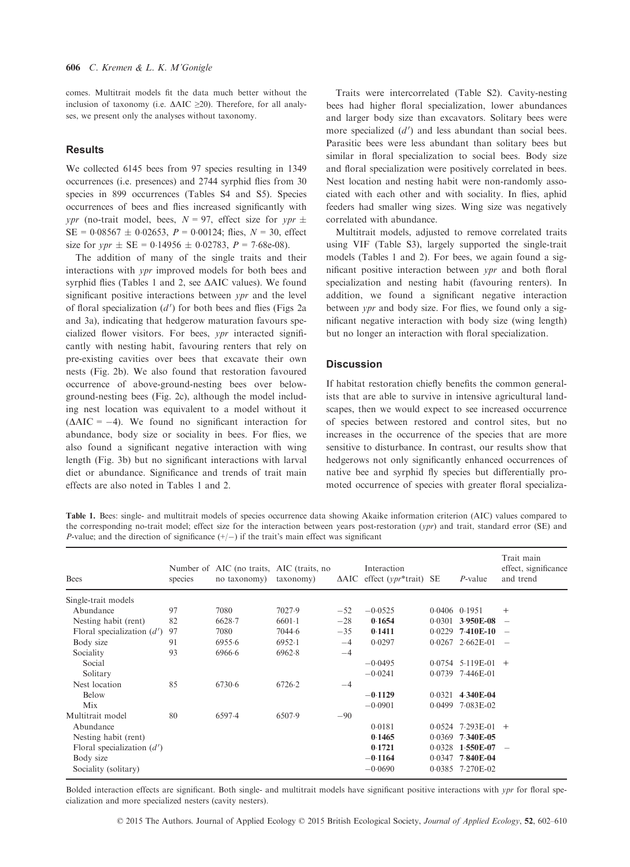comes. Multitrait models fit the data much better without the inclusion of taxonomy (i.e.  $\triangle AIC \geq 20$ ). Therefore, for all analyses, we present only the analyses without taxonomy.

### **Results**

We collected 6145 bees from 97 species resulting in 1349 occurrences (i.e. presences) and 2744 syrphid flies from 30 species in 899 occurrences (Tables S4 and S5). Species occurrences of bees and flies increased significantly with *ypr* (no-trait model, bees,  $N = 97$ , effect size for ypr  $\pm$  $SE = 0.08567 \pm 0.02653$ ,  $P = 0.00124$ ; flies,  $N = 30$ , effect size for  $ypr \pm SE = 0.14956 \pm 0.02783$ ,  $P = 7.68e-08$ ).

The addition of many of the single traits and their interactions with ypr improved models for both bees and syrphid flies (Tables 1 and 2, see  $\triangle$ AIC values). We found significant positive interactions between ypr and the level of floral specialization  $(d')$  for both bees and flies (Figs 2a and 3a), indicating that hedgerow maturation favours specialized flower visitors. For bees, ypr interacted significantly with nesting habit, favouring renters that rely on pre-existing cavities over bees that excavate their own nests (Fig. 2b). We also found that restoration favoured occurrence of above-ground-nesting bees over belowground-nesting bees (Fig. 2c), although the model including nest location was equivalent to a model without it  $(AAIC = -4)$ . We found no significant interaction for abundance, body size or sociality in bees. For flies, we also found a significant negative interaction with wing length (Fig. 3b) but no significant interactions with larval diet or abundance. Significance and trends of trait main effects are also noted in Tables 1 and 2.

Traits were intercorrelated (Table S2). Cavity-nesting bees had higher floral specialization, lower abundances and larger body size than excavators. Solitary bees were more specialized  $(d')$  and less abundant than social bees. Parasitic bees were less abundant than solitary bees but similar in floral specialization to social bees. Body size and floral specialization were positively correlated in bees. Nest location and nesting habit were non-randomly associated with each other and with sociality. In flies, aphid feeders had smaller wing sizes. Wing size was negatively correlated with abundance.

Multitrait models, adjusted to remove correlated traits using VIF (Table S3), largely supported the single-trait models (Tables 1 and 2). For bees, we again found a significant positive interaction between ypr and both floral specialization and nesting habit (favouring renters). In addition, we found a significant negative interaction between *ypr* and body size. For flies, we found only a significant negative interaction with body size (wing length) but no longer an interaction with floral specialization.

# **Discussion**

If habitat restoration chiefly benefits the common generalists that are able to survive in intensive agricultural landscapes, then we would expect to see increased occurrence of species between restored and control sites, but no increases in the occurrence of the species that are more sensitive to disturbance. In contrast, our results show that hedgerows not only significantly enhanced occurrences of native bee and syrphid fly species but differentially promoted occurrence of species with greater floral specializa-

Table 1. Bees: single- and multitrait models of species occurrence data showing Akaike information criterion (AIC) values compared to the corresponding no-trait model; effect size for the interaction between years post-restoration (ypr) and trait, standard error (SE) and P-value; and the direction of significance  $(+/-)$  if the trait's main effect was significant

| <b>Bees</b>                  | species | Number of AIC (no traits, AIC (traits, no<br>no taxonomy) | taxonomy) |       | Interaction<br>$\triangle AIC$ effect ( <i>vpr</i> *trait) SE |        | <i>P</i> -value    | Trait main<br>effect, significance<br>and trend |
|------------------------------|---------|-----------------------------------------------------------|-----------|-------|---------------------------------------------------------------|--------|--------------------|-------------------------------------------------|
| Single-trait models          |         |                                                           |           |       |                                                               |        |                    |                                                 |
| Abundance                    | 97      | 7080                                                      | 7027.9    | $-52$ | $-0.0525$                                                     |        | $0.0406$ $0.1951$  | $+$                                             |
| Nesting habit (rent)         | 82      | 6628.7                                                    | $6601-1$  | $-28$ | 0.1654                                                        | 0.0301 | 3.950E-08          |                                                 |
| Floral specialization $(d')$ | 97      | 7080                                                      | 7044.6    | $-35$ | 0.1411                                                        | 0.0229 | 7.410E-10          |                                                 |
| Body size                    | 91      | 6955.6                                                    | 6952.1    | $-4$  | 0.0297                                                        | 0.0267 | $2.662E - 01$      | $\overline{\phantom{a}}$                        |
| Sociality                    | 93      | 6966.6                                                    | 6962.8    | $-4$  |                                                               |        |                    |                                                 |
| Social                       |         |                                                           |           |       | $-0.0495$                                                     |        | $0.0754$ 5.119E-01 | $+$                                             |
| Solitary                     |         |                                                           |           |       | $-0.0241$                                                     | 0.0739 | 7.446E-01          |                                                 |
| Nest location                | 85      | 6730.6                                                    | 6726.2    | $-4$  |                                                               |        |                    |                                                 |
| Below                        |         |                                                           |           |       | $-0.1129$                                                     | 0.0321 | 4.340E-04          |                                                 |
| Mix                          |         |                                                           |           |       | $-0.0901$                                                     | 0.0499 | 7.083E-02          |                                                 |
| Multitrait model             | 80      | 6597.4                                                    | 6507.9    | $-90$ |                                                               |        |                    |                                                 |
| Abundance                    |         |                                                           |           |       | 0.0181                                                        |        | $0.0524$ 7.293E-01 | $+$                                             |
| Nesting habit (rent)         |         |                                                           |           |       | 0.1465                                                        | 0.0369 | 7.340E-05          |                                                 |
| Floral specialization $(d')$ |         |                                                           |           |       | 0.1721                                                        | 0.0328 | 1.550E-07          |                                                 |
| Body size                    |         |                                                           |           |       | $-0.1164$                                                     | 0.0347 | 7.840E-04          |                                                 |
| Sociality (solitary)         |         |                                                           |           |       | $-0.0690$                                                     | 0.0385 | 7.270E-02          |                                                 |

Bolded interaction effects are significant. Both single- and multitrait models have significant positive interactions with ypr for floral specialization and more specialized nesters (cavity nesters).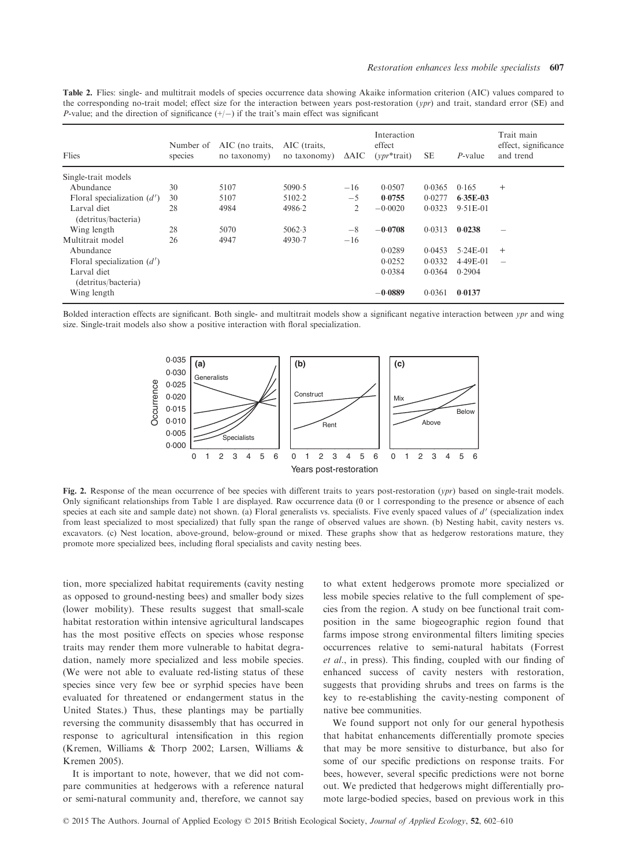Table 2. Flies: single- and multitrait models of species occurrence data showing Akaike information criterion (AIC) values compared to the corresponding no-trait model; effect size for the interaction between years post-restoration (ypr) and trait, standard error (SE) and P-value; and the direction of significance  $(+/-)$  if the trait's main effect was significant

| Flies                              | Number of<br>species | AIC (no traits,<br>no taxonomy) | AIC (traits,<br>no taxonomy) | ΔAIC  | Interaction<br>effect<br>$(\nu pr^*train)$ | <b>SE</b> | P-value      | Trait main<br>effect, significance<br>and trend |
|------------------------------------|----------------------|---------------------------------|------------------------------|-------|--------------------------------------------|-----------|--------------|-------------------------------------------------|
| Single-trait models                |                      |                                 |                              |       |                                            |           |              |                                                 |
| Abundance                          | 30                   | 5107                            | 5090.5                       | $-16$ | 0.0507                                     | 0.0365    | 0.165        | $+$                                             |
| Floral specialization $(d')$       | 30                   | 5107                            | 5102.2                       | $-5$  | 0.0755                                     | 0.0277    | $6.35E-03$   |                                                 |
| Larval diet<br>(detritus/bacteria) | 28                   | 4984                            | 4986.2                       | 2     | $-0.0020$                                  | 0.0323    | $9.51E-01$   |                                                 |
| Wing length                        | 28                   | 5070                            | 5062.3                       | $-8$  | $-0.0708$                                  | 0.0313    | 0.0238       |                                                 |
| Multitrait model                   | 26                   | 4947                            | 4930.7                       | $-16$ |                                            |           |              |                                                 |
| Abundance                          |                      |                                 |                              |       | 0.0289                                     | 0.0453    | $5.24E - 01$ | $+$                                             |
| Floral specialization $(d')$       |                      |                                 |                              |       | 0.0252                                     | 0.0332    | $4.49E-01$   | $\equiv$                                        |
| Larval diet<br>(detritus/bacteria) |                      |                                 |                              |       | 0.0384                                     | 0.0364    | 0.2904       |                                                 |
| Wing length                        |                      |                                 |                              |       | $-0.0889$                                  | 0.0361    | 0.0137       |                                                 |

Bolded interaction effects are significant. Both single- and multitrait models show a significant negative interaction between ypr and wing size. Single-trait models also show a positive interaction with floral specialization.



Fig. 2. Response of the mean occurrence of bee species with different traits to years post-restoration  $(ppr)$  based on single-trait models. Only significant relationships from Table 1 are displayed. Raw occurrence data (0 or 1 corresponding to the presence or absence of each species at each site and sample date) not shown. (a) Floral generalists vs. specialists. Five evenly spaced values of  $d'$  (specialization index from least specialized to most specialized) that fully span the range of observed values are shown. (b) Nesting habit, cavity nesters vs. excavators. (c) Nest location, above-ground, below-ground or mixed. These graphs show that as hedgerow restorations mature, they promote more specialized bees, including floral specialists and cavity nesting bees.

tion, more specialized habitat requirements (cavity nesting as opposed to ground-nesting bees) and smaller body sizes (lower mobility). These results suggest that small-scale habitat restoration within intensive agricultural landscapes has the most positive effects on species whose response traits may render them more vulnerable to habitat degradation, namely more specialized and less mobile species. (We were not able to evaluate red-listing status of these species since very few bee or syrphid species have been evaluated for threatened or endangerment status in the United States.) Thus, these plantings may be partially reversing the community disassembly that has occurred in response to agricultural intensification in this region (Kremen, Williams & Thorp 2002; Larsen, Williams & Kremen 2005).

It is important to note, however, that we did not compare communities at hedgerows with a reference natural or semi-natural community and, therefore, we cannot say to what extent hedgerows promote more specialized or less mobile species relative to the full complement of species from the region. A study on bee functional trait composition in the same biogeographic region found that farms impose strong environmental filters limiting species occurrences relative to semi-natural habitats (Forrest et al., in press). This finding, coupled with our finding of enhanced success of cavity nesters with restoration, suggests that providing shrubs and trees on farms is the key to re-establishing the cavity-nesting component of native bee communities.

We found support not only for our general hypothesis that habitat enhancements differentially promote species that may be more sensitive to disturbance, but also for some of our specific predictions on response traits. For bees, however, several specific predictions were not borne out. We predicted that hedgerows might differentially promote large-bodied species, based on previous work in this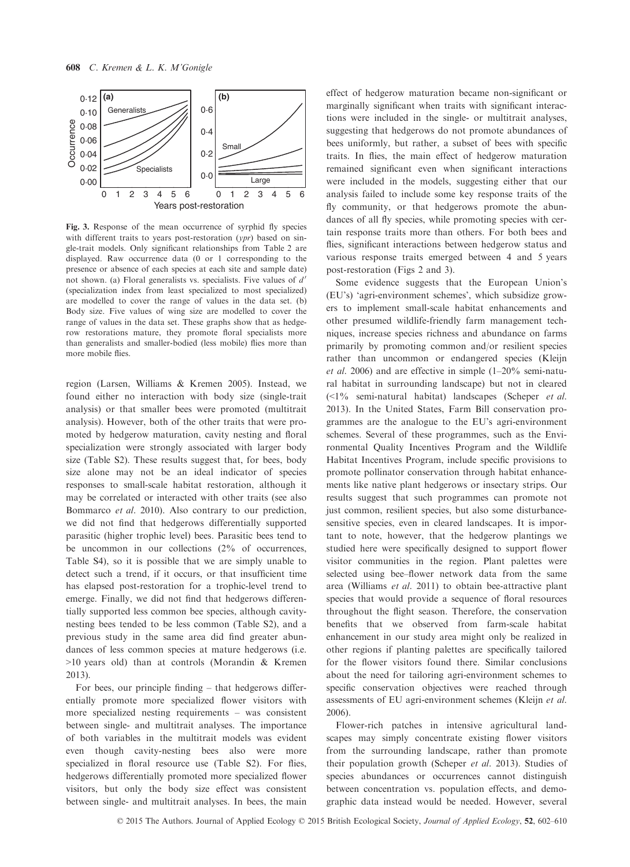

Fig. 3. Response of the mean occurrence of syrphid fly species with different traits to years post-restoration (ypr) based on single-trait models. Only significant relationships from Table 2 are displayed. Raw occurrence data (0 or 1 corresponding to the presence or absence of each species at each site and sample date) not shown. (a) Floral generalists vs. specialists. Five values of  $d'$ (specialization index from least specialized to most specialized) are modelled to cover the range of values in the data set. (b) Body size. Five values of wing size are modelled to cover the range of values in the data set. These graphs show that as hedgerow restorations mature, they promote floral specialists more than generalists and smaller-bodied (less mobile) flies more than more mobile flies.

region (Larsen, Williams & Kremen 2005). Instead, we found either no interaction with body size (single-trait analysis) or that smaller bees were promoted (multitrait analysis). However, both of the other traits that were promoted by hedgerow maturation, cavity nesting and floral specialization were strongly associated with larger body size (Table S2). These results suggest that, for bees, body size alone may not be an ideal indicator of species responses to small-scale habitat restoration, although it may be correlated or interacted with other traits (see also Bommarco et al. 2010). Also contrary to our prediction, we did not find that hedgerows differentially supported parasitic (higher trophic level) bees. Parasitic bees tend to be uncommon in our collections (2% of occurrences, Table S4), so it is possible that we are simply unable to detect such a trend, if it occurs, or that insufficient time has elapsed post-restoration for a trophic-level trend to emerge. Finally, we did not find that hedgerows differentially supported less common bee species, although cavitynesting bees tended to be less common (Table S2), and a previous study in the same area did find greater abundances of less common species at mature hedgerows (i.e. >10 years old) than at controls (Morandin & Kremen 2013).

For bees, our principle finding – that hedgerows differentially promote more specialized flower visitors with more specialized nesting requirements – was consistent between single- and multitrait analyses. The importance of both variables in the multitrait models was evident even though cavity-nesting bees also were more specialized in floral resource use (Table S2). For flies, hedgerows differentially promoted more specialized flower visitors, but only the body size effect was consistent between single- and multitrait analyses. In bees, the main

effect of hedgerow maturation became non-significant or marginally significant when traits with significant interactions were included in the single- or multitrait analyses, suggesting that hedgerows do not promote abundances of bees uniformly, but rather, a subset of bees with specific traits. In flies, the main effect of hedgerow maturation remained significant even when significant interactions were included in the models, suggesting either that our analysis failed to include some key response traits of the fly community, or that hedgerows promote the abundances of all fly species, while promoting species with certain response traits more than others. For both bees and flies, significant interactions between hedgerow status and various response traits emerged between 4 and 5 years post-restoration (Figs 2 and 3).

Some evidence suggests that the European Union's (EU's) 'agri-environment schemes', which subsidize growers to implement small-scale habitat enhancements and other presumed wildlife-friendly farm management techniques, increase species richness and abundance on farms primarily by promoting common and/or resilient species rather than uncommon or endangered species (Kleijn et al. 2006) and are effective in simple (1–20% semi-natural habitat in surrounding landscape) but not in cleared (<1% semi-natural habitat) landscapes (Scheper et al. 2013). In the United States, Farm Bill conservation programmes are the analogue to the EU's agri-environment schemes. Several of these programmes, such as the Environmental Quality Incentives Program and the Wildlife Habitat Incentives Program, include specific provisions to promote pollinator conservation through habitat enhancements like native plant hedgerows or insectary strips. Our results suggest that such programmes can promote not just common, resilient species, but also some disturbancesensitive species, even in cleared landscapes. It is important to note, however, that the hedgerow plantings we studied here were specifically designed to support flower visitor communities in the region. Plant palettes were selected using bee–flower network data from the same area (Williams et al. 2011) to obtain bee-attractive plant species that would provide a sequence of floral resources throughout the flight season. Therefore, the conservation benefits that we observed from farm-scale habitat enhancement in our study area might only be realized in other regions if planting palettes are specifically tailored for the flower visitors found there. Similar conclusions about the need for tailoring agri-environment schemes to specific conservation objectives were reached through assessments of EU agri-environment schemes (Kleijn et al. 2006).

Flower-rich patches in intensive agricultural landscapes may simply concentrate existing flower visitors from the surrounding landscape, rather than promote their population growth (Scheper et al. 2013). Studies of species abundances or occurrences cannot distinguish between concentration vs. population effects, and demographic data instead would be needed. However, several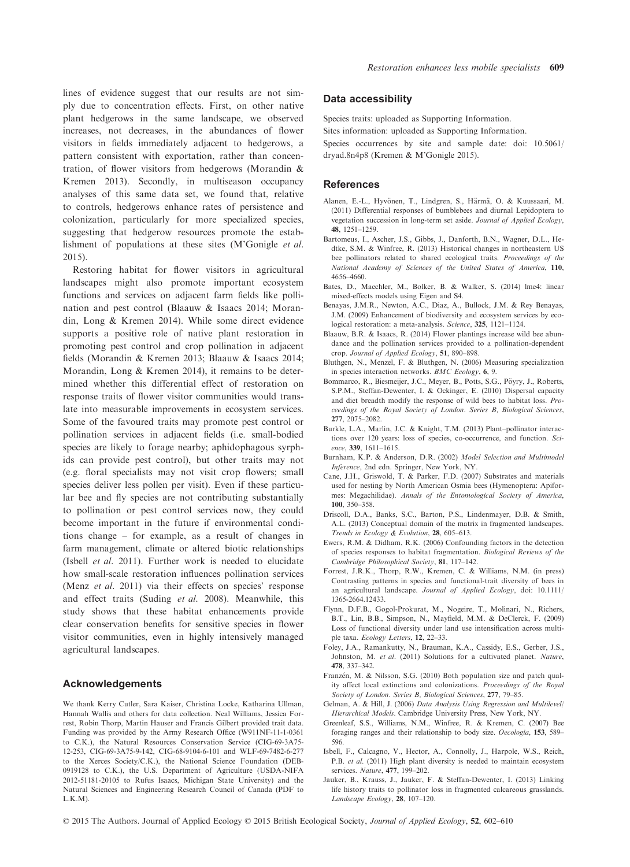lines of evidence suggest that our results are not simply due to concentration effects. First, on other native plant hedgerows in the same landscape, we observed increases, not decreases, in the abundances of flower visitors in fields immediately adjacent to hedgerows, a pattern consistent with exportation, rather than concentration, of flower visitors from hedgerows (Morandin & Kremen 2013). Secondly, in multiseason occupancy analyses of this same data set, we found that, relative to controls, hedgerows enhance rates of persistence and colonization, particularly for more specialized species, suggesting that hedgerow resources promote the establishment of populations at these sites (M'Gonigle et al. 2015).

Restoring habitat for flower visitors in agricultural landscapes might also promote important ecosystem functions and services on adjacent farm fields like pollination and pest control (Blaauw & Isaacs 2014; Morandin, Long & Kremen 2014). While some direct evidence supports a positive role of native plant restoration in promoting pest control and crop pollination in adjacent fields (Morandin & Kremen 2013; Blaauw & Isaacs 2014; Morandin, Long & Kremen 2014), it remains to be determined whether this differential effect of restoration on response traits of flower visitor communities would translate into measurable improvements in ecosystem services. Some of the favoured traits may promote pest control or pollination services in adjacent fields (i.e. small-bodied species are likely to forage nearby; aphidophagous syrphids can provide pest control), but other traits may not (e.g. floral specialists may not visit crop flowers; small species deliver less pollen per visit). Even if these particular bee and fly species are not contributing substantially to pollination or pest control services now, they could become important in the future if environmental conditions change – for example, as a result of changes in farm management, climate or altered biotic relationships (Isbell et al. 2011). Further work is needed to elucidate how small-scale restoration influences pollination services (Menz et al. 2011) via their effects on species' response and effect traits (Suding et al. 2008). Meanwhile, this study shows that these habitat enhancements provide clear conservation benefits for sensitive species in flower visitor communities, even in highly intensively managed agricultural landscapes.

#### Acknowledgements

We thank Kerry Cutler, Sara Kaiser, Christina Locke, Katharina Ullman, Hannah Wallis and others for data collection. Neal Williams, Jessica Forrest, Robin Thorp, Martin Hauser and Francis Gilbert provided trait data. Funding was provided by the Army Research Office (W911NF-11-1-0361 to C.K.), the Natural Resources Conservation Service (CIG-69-3A75- 12-253, CIG-69-3A75-9-142, CIG-68-9104-6-101 and WLF-69-7482-6-277 to the Xerces Society/C.K.), the National Science Foundation (DEB-0919128 to C.K.), the U.S. Department of Agriculture (USDA-NIFA 2012-51181-20105 to Rufus Isaacs, Michigan State University) and the Natural Sciences and Engineering Research Council of Canada (PDF to L.K.M).

# Data accessibility

Species traits: uploaded as Supporting Information.

Sites information: uploaded as Supporting Information.

Species occurrences by site and sample date: doi:  $10.5061/$ [dryad.8n4p8](http://dx.doi.org/10.5061/dryad.8n4p8) (Kremen & M'Gonigle 2015).

### References

- Alanen, E.-L., Hyvönen, T., Lindgren, S., Härmä, O. & Kuussaari, M. (2011) Differential responses of bumblebees and diurnal Lepidoptera to vegetation succession in long-term set aside. Journal of Applied Ecology,
- 48, 1251–1259. Bartomeus, I., Ascher, J.S., Gibbs, J., Danforth, B.N., Wagner, D.L., Hedtke, S.M. & Winfree, R. (2013) Historical changes in northeastern US bee pollinators related to shared ecological traits. Proceedings of the National Academy of Sciences of the United States of America, 110, 4656–4660.
- Bates, D., Maechler, M., Bolker, B. & Walker, S. (2014) lme4: linear mixed-effects models using Eigen and S4.
- Benayas, J.M.R., Newton, A.C., Diaz, A., Bullock, J.M. & Rey Benayas, J.M. (2009) Enhancement of biodiversity and ecosystem services by ecological restoration: a meta-analysis. Science, 325, 1121–1124.
- Blaauw, B.R. & Isaacs, R. (2014) Flower plantings increase wild bee abundance and the pollination services provided to a pollination-dependent crop. Journal of Applied Ecology, 51, 890–898.
- crop. Journal of Applied Ecology, 51, 890–898. Bluthgen, N., Menzel, F. & Bluthgen, N. (2006) Measuring specialization in species interaction networks. BMC Ecology, 6, 9.
- Bommarco, R., Biesmeijer, J.C., Meyer, B., Potts, S.G., Pöyry, J., Roberts, S.P.M., Steffan-Dewenter, I. & Ockinger, E. (2010) Dispersal capacity and diet breadth modify the response of wild bees to habitat loss. Proceedings of the Royal Society of London. Series B, Biological Sciences,<br>277 2075-2082
- 277, 2075–2082. Burkle, L.A., Marlin, J.C. & Knight, T.M. (2013) Plant–pollinator interactions over 120 years: loss of species, co-occurrence, and function. Science, 339, 1611–1615.
- Burnham, K.P. & Anderson, D.R. (2002) Model Selection and Multimodel Inference, 2nd edn. Springer, New York, NY.
- Cane, J.H., Griswold, T. & Parker, F.D. (2007) Substrates and materials used for nesting by North American Osmia bees (Hymenoptera: Apiformes: Megachilidae). Annals of the Entomological Society of America, 100, 350–358.
- Driscoll, D.A., Banks, S.C., Barton, P.S., Lindenmayer, D.B. & Smith, A.L. (2013) Conceptual domain of the matrix in fragmented landscapes. Trends in Ecology & Evolution, 28, 605–613.
- Ewers, R.M. & Didham, R.K. (2006) Confounding factors in the detection of species responses to habitat fragmentation. Biological Reviews of the
- Cambridge Philosophical Society, 81, 117-142.<br>Forrest, J.R.K., Thorp, R.W., Kremen, C. & Williams, N.M. (in press) Contrasting patterns in species and functional-trait diversity of bees in an agricultural landscape. Journal of Applied Ecology, doi: [10.1111/](http://dx.doi.org/10.1111/1365-2664.12433) [1365-2664.12433.](http://dx.doi.org/10.1111/1365-2664.12433)
- Flynn, D.F.B., Gogol-Prokurat, M., Nogeire, T., Molinari, N., Richers, B.T., Lin, B.B., Simpson, N., Mayfield, M.M. & DeClerck, F. (2009) Loss of functional diversity under land use intensification across multiple taxa. Ecology Letters, 12, 22–33.
- Foley, J.A., Ramankutty, N., Brauman, K.A., Cassidy, E.S., Gerber, J.S., Johnston, M. et al. (2011) Solutions for a cultivated planet. Nature, 478, 337–342. Franzen, M. & Nilsson, S.G. (2010) Both population size and patch qual-
- ity affect local extinctions and colonizations. Proceedings of the Royal Society of London. Series B, Biological Sciences, 277, 79–85.
- Gelman, A. & Hill, J. (2006) Data Analysis Using Regression and Multilevel/ Hierarchical Models. Cambridge University Press, New York, NY.
- Greenleaf, S.S., Williams, N.M., Winfree, R. & Kremen, C. (2007) Bee foraging ranges and their relationship to body size. Oecologia, 153, 589– 596.
- Isbell, F., Calcagno, V., Hector, A., Connolly, J., Harpole, W.S., Reich, P.B. et al. (2011) High plant diversity is needed to maintain ecosystem services. Nature, 477, 199–202.
- Jauker, B., Krauss, J., Jauker, F. & Steffan-Dewenter, I. (2013) Linking life history traits to pollinator loss in fragmented calcareous grasslands. Landscape Ecology, 28, 107–120.

© 2015 The Authors. Journal of Applied Ecology © 2015 British Ecological Society, Journal of Applied Ecology, 52, 602–610